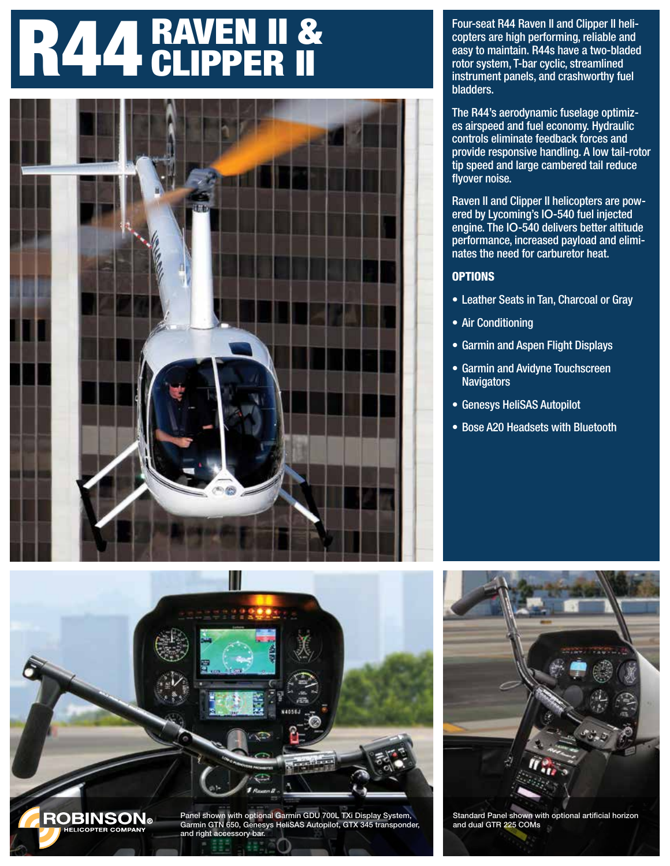# R44 RAVEN II &



Four-seat R44 Raven II and Clipper II helicopters are high performing, reliable and easy to maintain. R44s have a two-bladed rotor system, T-bar cyclic, streamlined instrument panels, and crashworthy fuel bladders.

The R44's aerodynamic fuselage optimizes airspeed and fuel economy. Hydraulic controls eliminate feedback forces and provide responsive handling. A low tail-rotor tip speed and large cambered tail reduce flyover noise.

Raven II and Clipper II helicopters are powered by Lycoming's IO-540 fuel injected engine. The IO-540 delivers better altitude performance, increased payload and eliminates the need for carburetor heat.

#### **OPTIONS**

- Leather Seats in Tan, Charcoal or Gray
- Air Conditioning
- Garmin and Aspen Flight Displays
- Garmin and Avidyne Touchscreen **Navigators**
- Genesys HeliSAS Autopilot
- Bose A20 Headsets with Bluetooth





Standard Panel shown with optional artificial horizon and dual GTR 225 COMs